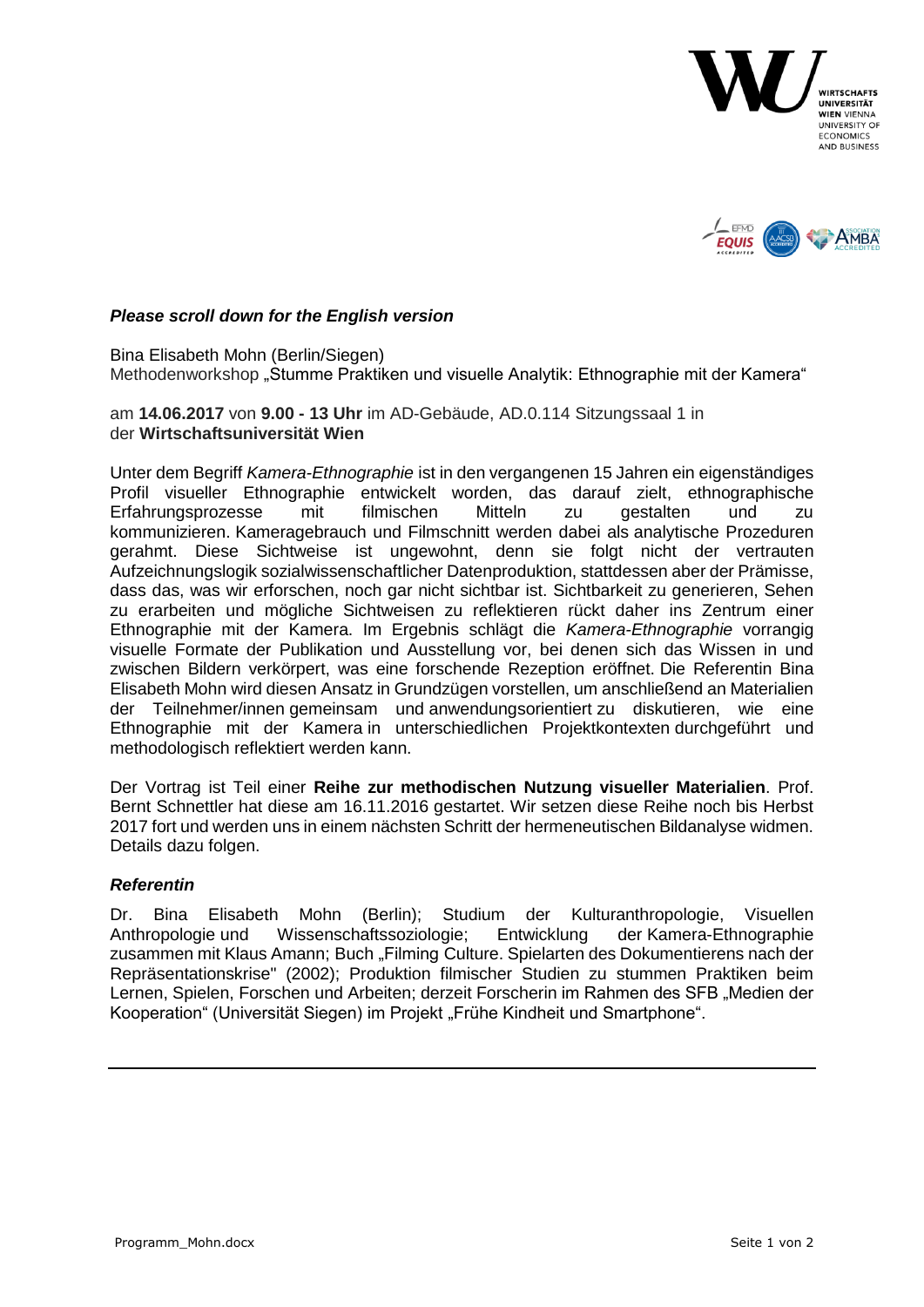



## *Please scroll down for the English version*

Bina Elisabeth Mohn (Berlin/Siegen) Methodenworkshop "Stumme Praktiken und visuelle Analytik: Ethnographie mit der Kamera"

am **14.06.2017** von **9.00 - 13 Uhr** im AD-Gebäude, AD.0.114 Sitzungssaal 1 in der **Wirtschaftsuniversität Wien**

Unter dem Begriff *Kamera-Ethnographie* ist in den vergangenen 15 Jahren ein eigenständiges Profil visueller Ethnographie entwickelt worden, das darauf zielt, ethnographische Erfahrungsprozesse mit filmischen Mitteln zu gestalten und zu kommunizieren. Kameragebrauch und Filmschnitt werden dabei als analytische Prozeduren gerahmt. Diese Sichtweise ist ungewohnt, denn sie folgt nicht der vertrauten Aufzeichnungslogik sozialwissenschaftlicher Datenproduktion, stattdessen aber der Prämisse, dass das, was wir erforschen, noch gar nicht sichtbar ist. Sichtbarkeit zu generieren, Sehen zu erarbeiten und mögliche Sichtweisen zu reflektieren rückt daher ins Zentrum einer Ethnographie mit der Kamera. Im Ergebnis schlägt die *Kamera-Ethnographie* vorrangig visuelle Formate der Publikation und Ausstellung vor, bei denen sich das Wissen in und zwischen Bildern verkörpert, was eine forschende Rezeption eröffnet. Die Referentin Bina Elisabeth Mohn wird diesen Ansatz in Grundzügen vorstellen, um anschließend an Materialien der Teilnehmer/innen gemeinsam und anwendungsorientiert zu diskutieren, wie eine Ethnographie mit der Kamera in unterschiedlichen Projektkontexten durchgeführt und methodologisch reflektiert werden kann.

Der Vortrag ist Teil einer **Reihe zur methodischen Nutzung visueller Materialien**. Prof. Bernt Schnettler hat diese am 16.11.2016 gestartet. Wir setzen diese Reihe noch bis Herbst 2017 fort und werden uns in einem nächsten Schritt der hermeneutischen Bildanalyse widmen. Details dazu folgen.

## *Referentin*

Dr. Bina Elisabeth Mohn (Berlin); Studium der Kulturanthropologie, Visuellen Anthropologie und Wissenschaftssoziologie; Entwicklung der Kamera-Ethnographie zusammen mit Klaus Amann; Buch "Filming Culture. Spielarten des Dokumentierens nach der Repräsentationskrise" (2002); Produktion filmischer Studien zu stummen Praktiken beim Lernen, Spielen, Forschen und Arbeiten; derzeit Forscherin im Rahmen des SFB "Medien der Kooperation" (Universität Siegen) im Projekt "Frühe Kindheit und Smartphone".